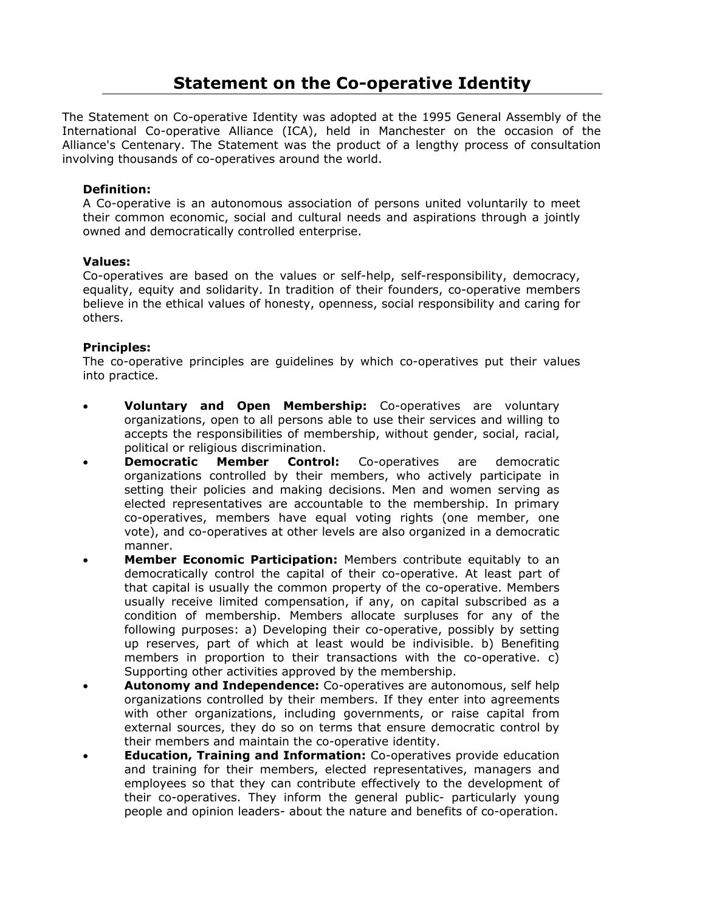# **Statement on the Co-operative Identity**

The Statement on Co-operative Identity was adopted at the 1995 General Assembly of the International Co-operative Alliance (ICA), held in Manchester on the occasion of the Alliance's Centenary. The Statement was the product of a lengthy process of consultation involving thousands of co-operatives around the world.

### **Definition:**

A Co-operative is an autonomous association of persons united voluntarily to meet their common economic, social and cultural needs and aspirations through a jointly owned and democratically controlled enterprise.

#### **Values:**

Co-operatives are based on the values or self-help, self-responsibility, democracy, equality, equity and solidarity. In tradition of their founders, co-operative members believe in the ethical values of honesty, openness, social responsibility and caring for others.

### **Principles:**

The co-operative principles are guidelines by which co-operatives put their values into practice.

- **Voluntary and Open Membership:** Co-operatives are voluntary organizations, open to all persons able to use their services and willing to accepts the responsibilities of membership, without gender, social, racial, political or religious discrimination.
- **Democratic Member Control:** Co-operatives are democratic organizations controlled by their members, who actively participate in setting their policies and making decisions. Men and women serving as elected representatives are accountable to the membership. In primary co-operatives, members have equal voting rights (one member, one vote), and co-operatives at other levels are also organized in a democratic manner.
- **Member Economic Participation:** Members contribute equitably to an democratically control the capital of their co-operative. At least part of that capital is usually the common property of the co-operative. Members usually receive limited compensation, if any, on capital subscribed as a condition of membership. Members allocate surpluses for any of the following purposes: a) Developing their co-operative, possibly by setting up reserves, part of which at least would be indivisible. b) Benefiting members in proportion to their transactions with the co-operative. c) Supporting other activities approved by the membership.
- **Autonomy and Independence:** Co-operatives are autonomous, self help organizations controlled by their members. If they enter into agreements with other organizations, including governments, or raise capital from external sources, they do so on terms that ensure democratic control by their members and maintain the co-operative identity.
- **Education, Training and Information:** Co-operatives provide education and training for their members, elected representatives, managers and employees so that they can contribute effectively to the development of their co-operatives. They inform the general public- particularly young people and opinion leaders- about the nature and benefits of co-operation.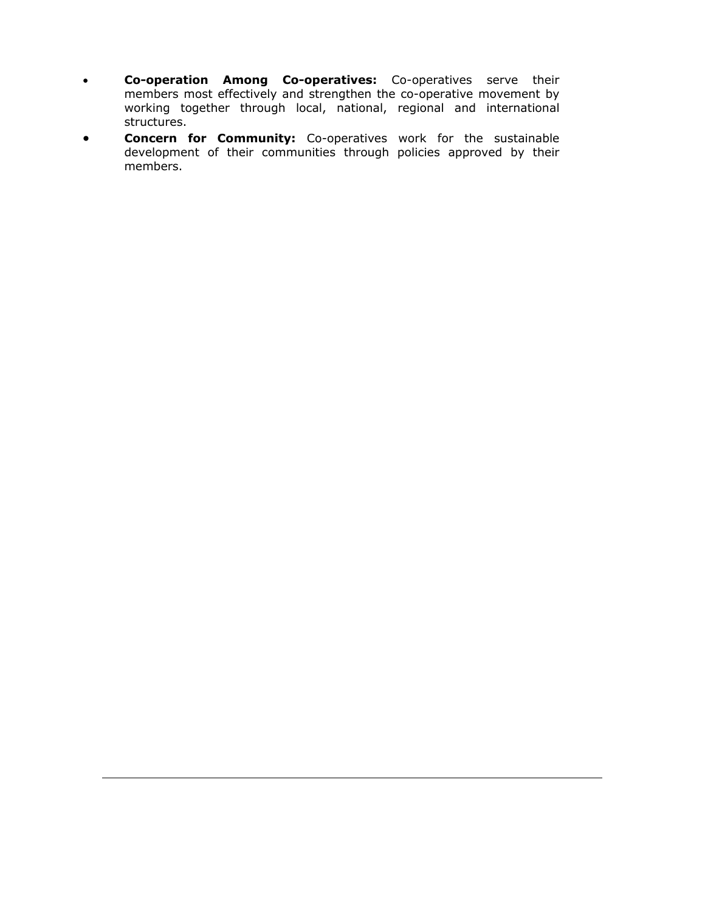- **Co-operation Among Co-operatives:** Co-operatives serve their members most effectively and strengthen the co-operative movement by working together through local, national, regional and international structures.
- **Concern for Community:** Co-operatives work for the sustainable development of their communities through policies approved by their members.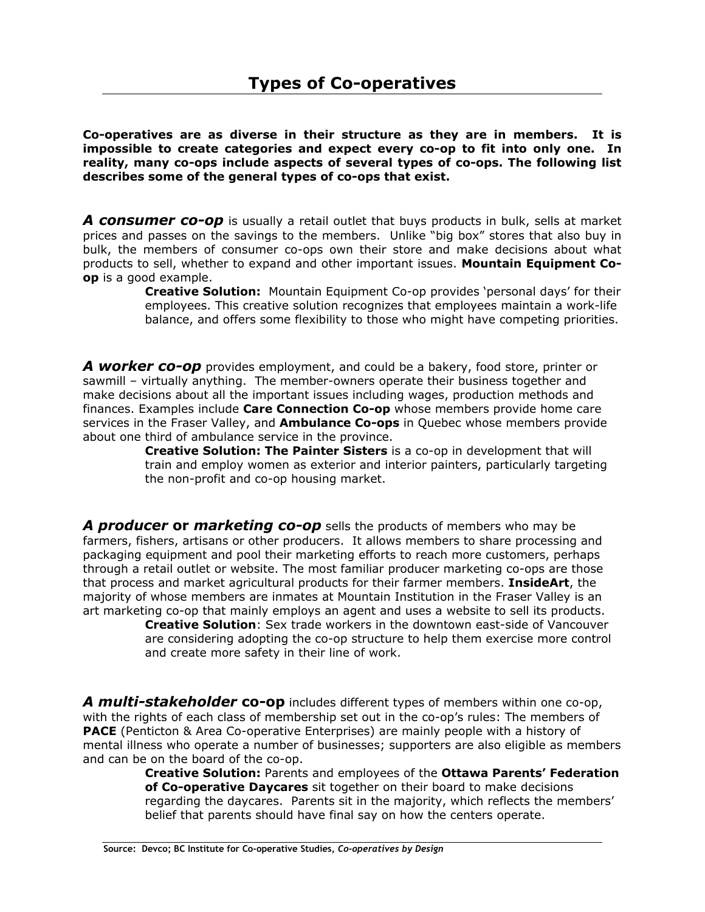**Co-operatives are as diverse in their structure as they are in members. It is impossible to create categories and expect every co-op to fit into only one. In reality, many co-ops include aspects of several types of co-ops. The following list describes some of the general types of co-ops that exist.** 

**A consumer co-op** is usually a retail outlet that buys products in bulk, sells at market prices and passes on the savings to the members. Unlike "big box" stores that also buy in bulk, the members of consumer co-ops own their store and make decisions about what products to sell, whether to expand and other important issues. **Mountain Equipment Coop** is a good example.

**Creative Solution:** Mountain Equipment Co-op provides 'personal days' for their employees. This creative solution recognizes that employees maintain a work-life balance, and offers some flexibility to those who might have competing priorities.

*A worker co-op* provides employment, and could be a bakery, food store, printer or sawmill – virtually anything. The member-owners operate their business together and make decisions about all the important issues including wages, production methods and finances. Examples include **Care Connection Co-op** whose members provide home care services in the Fraser Valley, and **Ambulance Co-ops** in Quebec whose members provide about one third of ambulance service in the province.

 **Creative Solution: The Painter Sisters** is a co-op in development that will train and employ women as exterior and interior painters, particularly targeting the non-profit and co-op housing market.

*A producer* **or** *marketing co-op* sells the products of members who may be farmers, fishers, artisans or other producers. It allows members to share processing and packaging equipment and pool their marketing efforts to reach more customers, perhaps through a retail outlet or website. The most familiar producer marketing co-ops are those that process and market agricultural products for their farmer members. **InsideArt**, the majority of whose members are inmates at Mountain Institution in the Fraser Valley is an art marketing co-op that mainly employs an agent and uses a website to sell its products.

**Creative Solution**: Sex trade workers in the downtown east-side of Vancouver are considering adopting the co-op structure to help them exercise more control and create more safety in their line of work.

*A multi-stakeholder* **co-op** includes different types of members within one co-op, with the rights of each class of membership set out in the co-op's rules: The members of **PACE** (Penticton & Area Co-operative Enterprises) are mainly people with a history of mental illness who operate a number of businesses; supporters are also eligible as members and can be on the board of the co-op.

**Creative Solution:** Parents and employees of the **Ottawa Parents' Federation of Co-operative Daycares** sit together on their board to make decisions regarding the daycares. Parents sit in the majority, which reflects the members' belief that parents should have final say on how the centers operate.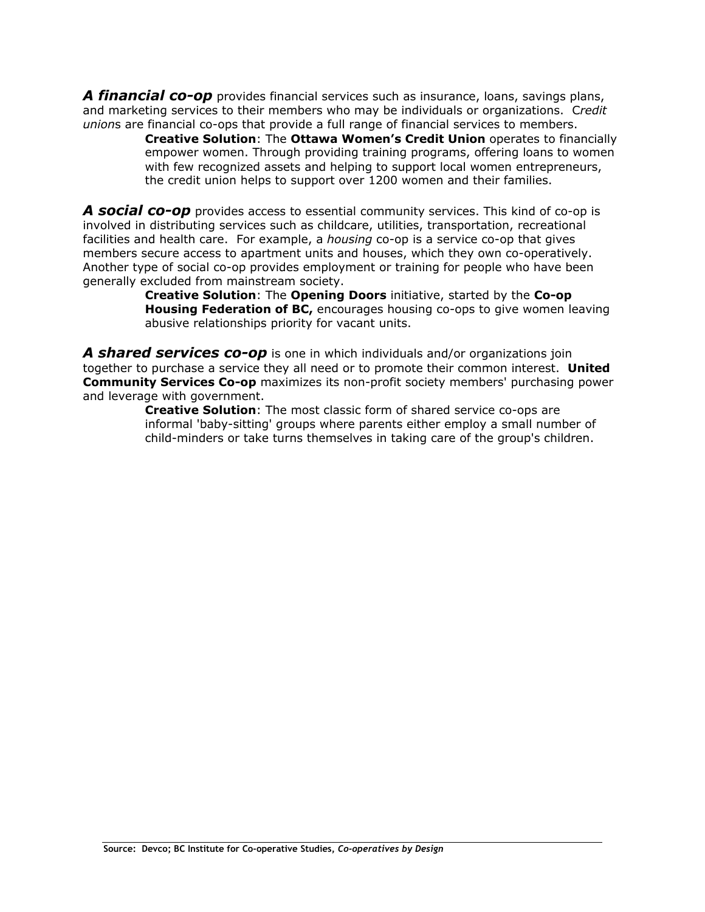*A financial co-op* provides financial services such as insurance, loans, savings plans, and marketing services to their members who may be individuals or organizations. C*redit union*s are financial co-ops that provide a full range of financial services to members.

**Creative Solution**: The **Ottawa Women's Credit Union** operates to financially empower women. Through providing training programs, offering loans to women with few recognized assets and helping to support local women entrepreneurs, the credit union helps to support over 1200 women and their families.

*A social co-op* provides access to essential community services. This kind of co-op is involved in distributing services such as childcare, utilities, transportation, recreational facilities and health care. For example, a *housing* co-op is a service co-op that gives members secure access to apartment units and houses, which they own co-operatively. Another type of social co-op provides employment or training for people who have been generally excluded from mainstream society.

 **Creative Solution**: The **Opening Doors** initiative, started by the **Co-op Housing Federation of BC,** encourages housing co-ops to give women leaving abusive relationships priority for vacant units.

*A shared services co-op* is one in which individuals and/or organizations join together to purchase a service they all need or to promote their common interest. **United Community Services Co-op** maximizes its non-profit society members' purchasing power and leverage with government.

**Creative Solution**: The most classic form of shared service co-ops are informal 'baby-sitting' groups where parents either employ a small number of child-minders or take turns themselves in taking care of the group's children.